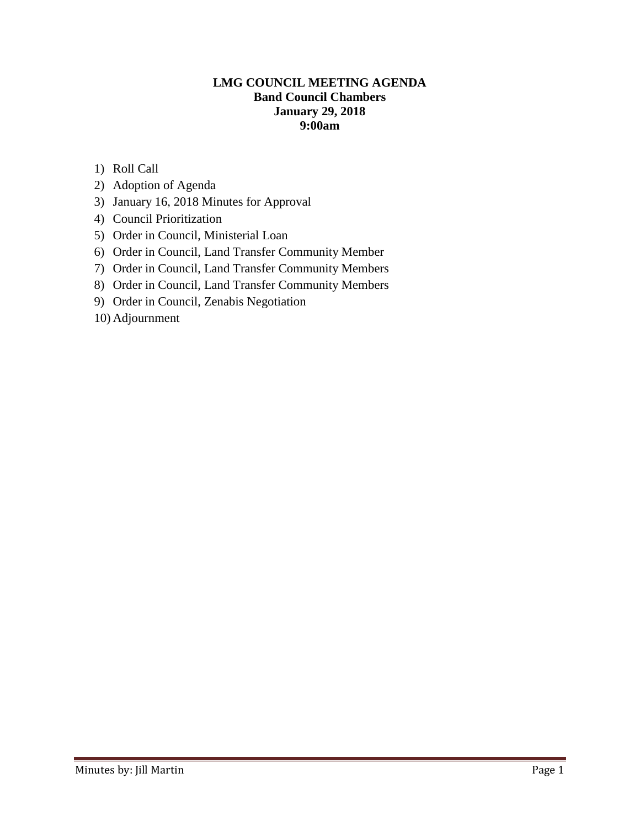### **LMG COUNCIL MEETING AGENDA Band Council Chambers January 29, 2018 9:00am**

- 1) Roll Call
- 2) Adoption of Agenda
- 3) January 16, 2018 Minutes for Approval
- 4) Council Prioritization
- 5) Order in Council, Ministerial Loan
- 6) Order in Council, Land Transfer Community Member
- 7) Order in Council, Land Transfer Community Members
- 8) Order in Council, Land Transfer Community Members
- 9) Order in Council, Zenabis Negotiation
- 10) Adjournment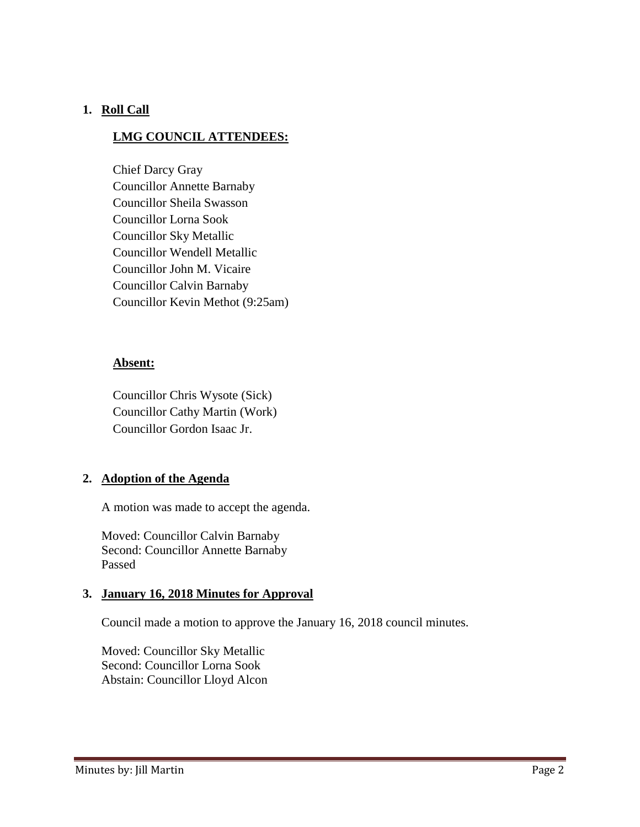### **1. Roll Call**

### **LMG COUNCIL ATTENDEES:**

Chief Darcy Gray Councillor Annette Barnaby Councillor Sheila Swasson Councillor Lorna Sook Councillor Sky Metallic Councillor Wendell Metallic Councillor John M. Vicaire Councillor Calvin Barnaby Councillor Kevin Methot (9:25am)

### **Absent:**

Councillor Chris Wysote (Sick) Councillor Cathy Martin (Work) Councillor Gordon Isaac Jr.

### **2. Adoption of the Agenda**

A motion was made to accept the agenda.

Moved: Councillor Calvin Barnaby Second: Councillor Annette Barnaby Passed

### **3. January 16, 2018 Minutes for Approval**

Council made a motion to approve the January 16, 2018 council minutes.

Moved: Councillor Sky Metallic Second: Councillor Lorna Sook Abstain: Councillor Lloyd Alcon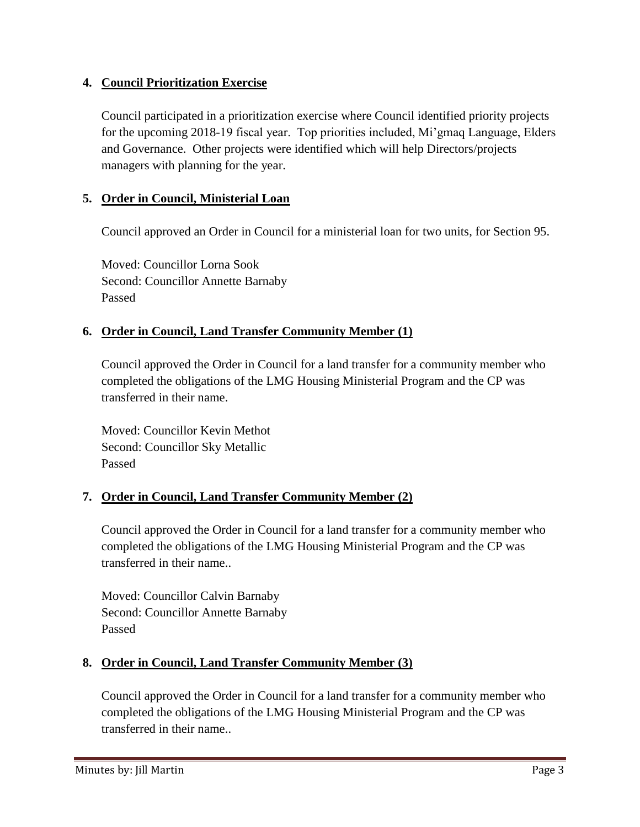## **4. Council Prioritization Exercise**

Council participated in a prioritization exercise where Council identified priority projects for the upcoming 2018-19 fiscal year. Top priorities included, Mi'gmaq Language, Elders and Governance. Other projects were identified which will help Directors/projects managers with planning for the year.

# **5. Order in Council, Ministerial Loan**

Council approved an Order in Council for a ministerial loan for two units, for Section 95.

Moved: Councillor Lorna Sook Second: Councillor Annette Barnaby Passed

# **6. Order in Council, Land Transfer Community Member (1)**

Council approved the Order in Council for a land transfer for a community member who completed the obligations of the LMG Housing Ministerial Program and the CP was transferred in their name.

Moved: Councillor Kevin Methot Second: Councillor Sky Metallic Passed

# **7. Order in Council, Land Transfer Community Member (2)**

Council approved the Order in Council for a land transfer for a community member who completed the obligations of the LMG Housing Ministerial Program and the CP was transferred in their name..

Moved: Councillor Calvin Barnaby Second: Councillor Annette Barnaby Passed

# **8. Order in Council, Land Transfer Community Member (3)**

Council approved the Order in Council for a land transfer for a community member who completed the obligations of the LMG Housing Ministerial Program and the CP was transferred in their name..